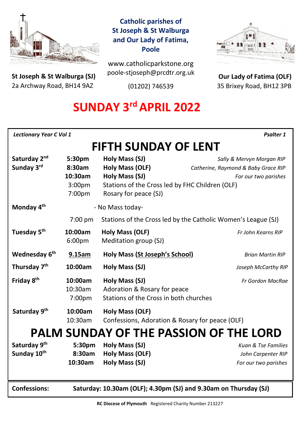

**St Joseph & St Walburga (SJ)** 2a Archway Road, BH14 9AZ 

### **Catholic parishes of St Joseph & St Walburga and Our Lady of Fatima, Poole**

www.catholicparkstone.org poole-stjoseph@prcdtr.org.uk

(01202) 746539



**Our Lady of Fatima (OLF)** 35 Brixey Road, BH12 3PB

# **SUNDAY 3<sup>rd</sup> APRIL 2022**

| <b>Lectionary Year C Vol 1</b><br><b>Psalter 1</b> |                                                                  |                                                                                                                                               |                                                                                          |
|----------------------------------------------------|------------------------------------------------------------------|-----------------------------------------------------------------------------------------------------------------------------------------------|------------------------------------------------------------------------------------------|
| <b>FIFTH SUNDAY OF LENT</b>                        |                                                                  |                                                                                                                                               |                                                                                          |
| Saturday 2 <sup>nd</sup><br>Sunday 3rd             | 5:30pm<br>8:30am<br>10:30am<br>3:00 <sub>pm</sub><br>7:00pm      | Holy Mass (SJ)<br><b>Holy Mass (OLF)</b><br><b>Holy Mass (SJ)</b><br>Stations of the Cross led by FHC Children (OLF)<br>Rosary for peace (SJ) | Sally & Mervyn Morgan RIP<br>Catherine, Raymond & Baby Grace RIP<br>For our two parishes |
| Monday 4 <sup>th</sup>                             |                                                                  | - No Mass today-                                                                                                                              |                                                                                          |
|                                                    | $7:00$ pm                                                        | Stations of the Cross led by the Catholic Women's League (SJ)                                                                                 |                                                                                          |
| Tuesday 5 <sup>th</sup>                            | 10:00am<br>6:00pm                                                | <b>Holy Mass (OLF)</b><br>Meditation group (SJ)                                                                                               | Fr John Kearns RIP                                                                       |
| Wednesday 6 <sup>th</sup>                          | 9.15am                                                           | <b>Holy Mass (St Joseph's School)</b>                                                                                                         | <b>Brian Martin RIP</b>                                                                  |
| Thursday 7 <sup>th</sup>                           | 10:00am                                                          | Holy Mass (SJ)                                                                                                                                | Joseph McCarthy RIP                                                                      |
| Friday 8 <sup>th</sup>                             | 10:00am<br>10:30am<br>7:00 <sub>pm</sub>                         | Holy Mass (SJ)<br>Adoration & Rosary for peace<br>Stations of the Cross in both churches                                                      | Fr Gordon MacRae                                                                         |
| Saturday 9 <sup>th</sup>                           | 10:00am<br>10:30am                                               | Holy Mass (OLF)<br>Confessions, Adoration & Rosary for peace (OLF)                                                                            |                                                                                          |
| <b>PALM SUNDAY OF THE PASSION OF THE LORD</b>      |                                                                  |                                                                                                                                               |                                                                                          |
| Saturday 9 <sup>th</sup><br>Sunday 10th            | 5:30pm<br>8:30am<br>10:30am                                      | Holy Mass (SJ)<br><b>Holy Mass (OLF)</b><br>Holy Mass (SJ)                                                                                    | Kuan & Tse Families<br>John Carpenter RIP<br>For our two parishes                        |
| <b>Confessions:</b>                                | Saturday: 10.30am (OLF); 4.30pm (SJ) and 9.30am on Thursday (SJ) |                                                                                                                                               |                                                                                          |